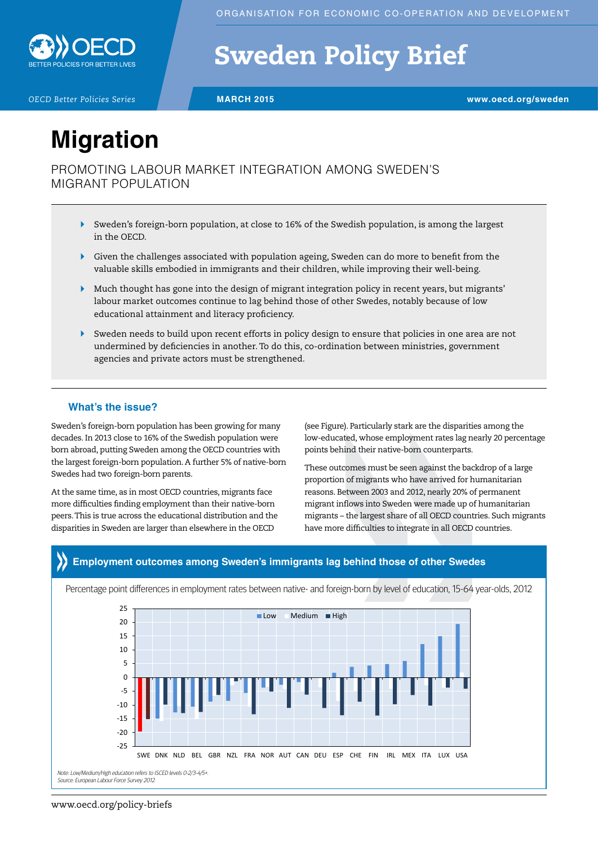

# Sweden Policy Brief

*OECD Better Policies Series* **MARCH 2015 www.oecd.org/sweden**

# **Migration**

PROMOTING LABOUR MARKET INTEGRATION AMONG SWEDEN'S MIGRANT POPULATION

- Sweden's foreign-born population, at close to 16% of the Swedish population, is among the largest in the OECD.
- Given the challenges associated with population ageing, Sweden can do more to benefit from the valuable skills embodied in immigrants and their children, while improving their well-being.
- $\blacktriangleright$  Much thought has gone into the design of migrant integration policy in recent years, but migrants' labour market outcomes continue to lag behind those of other Swedes, notably because of low educational attainment and literacy proficiency.
- $\blacktriangleright$ Sweden needs to build upon recent efforts in policy design to ensure that policies in one area are not undermined by deficiencies in another. To do this, co-ordination between ministries, government agencies and private actors must be strengthened.

### **What's the issue?**

Sweden's foreign-born population has been growing for many decades. In 2013 close to 16% of the Swedish population were born abroad, putting Sweden among the OECD countries with the largest foreign-born population. A further 5% of native-born Swedes had two foreign-born parents.

At the same time, as in most OECD countries, migrants face more difficulties finding employment than their native-born peers. This is true across the educational distribution and the disparities in Sweden are larger than elsewhere in the OECD

(see Figure). Particularly stark are the disparities among the low-educated, whose employment rates lag nearly 20 percentage points behind their native-born counterparts.

These outcomes must be seen against the backdrop of a large proportion of migrants who have arrived for humanitarian reasons. Between 2003 and 2012, nearly 20% of permanent migrant inflows into Sweden were made up of humanitarian migrants – the largest share of all OECD countries. Such migrants have more difficulties to integrate in all OECD countries.

## **Employment outcomes among Sweden's immigrants lag behind those of other Swedes**

Percentage point differences in employment rates between native- and foreign-born by level of education, 15-64 year-olds, 2012